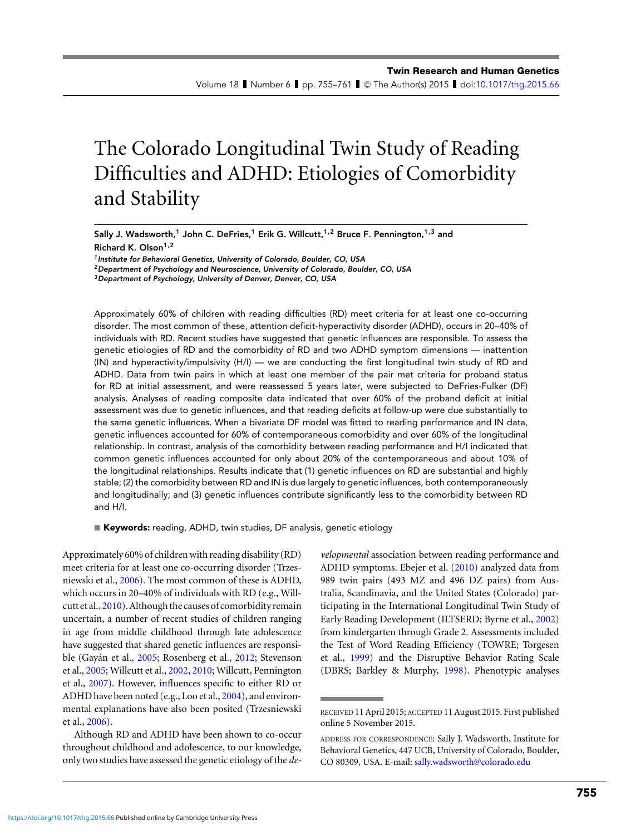# The Colorado Longitudinal Twin Study of Reading Difficulties and ADHD: Etiologies of Comorbidity and Stability

Sally J. Wadsworth,<sup>1</sup> John C. DeFries,<sup>1</sup> Erik G. Willcutt,<sup>1,2</sup> Bruce F. Pennington,<sup>1,3</sup> and Richard K. Olson $1,2$ 

<sup>1</sup> Institute for Behavioral Genetics, University of Colorado, Boulder, CO, USA

<sup>2</sup>Department of Psychology and Neuroscience, University of Colorado, Boulder, CO, USA

<sup>3</sup>Department of Psychology, University of Denver, Denver, CO, USA

Approximately 60% of children with reading difficulties (RD) meet criteria for at least one co-occurring disorder. The most common of these, attention deficit-hyperactivity disorder (ADHD), occurs in 20–40% of individuals with RD. Recent studies have suggested that genetic influences are responsible. To assess the genetic etiologies of RD and the comorbidity of RD and two ADHD symptom dimensions –– inattention (IN) and hyperactivity/impulsivity (H/I) –– we are conducting the first longitudinal twin study of RD and ADHD. Data from twin pairs in which at least one member of the pair met criteria for proband status for RD at initial assessment, and were reassessed 5 years later, were subjected to DeFries-Fulker (DF) analysis. Analyses of reading composite data indicated that over 60% of the proband deficit at initial assessment was due to genetic influences, and that reading deficits at follow-up were due substantially to the same genetic influences. When a bivariate DF model was fitted to reading performance and IN data, genetic influences accounted for 60% of contemporaneous comorbidity and over 60% of the longitudinal relationship. In contrast, analysis of the comorbidity between reading performance and H/I indicated that common genetic influences accounted for only about 20% of the contemporaneous and about 10% of the longitudinal relationships. Results indicate that (1) genetic influences on RD are substantial and highly stable; (2) the comorbidity between RD and IN is due largely to genetic influences, both contemporaneously and longitudinally; and (3) genetic influences contribute significantly less to the comorbidity between RD and H/I.

■ Keywords: reading, ADHD, twin studies, DF analysis, genetic etiology

Approximately 60% of children with reading disability (RD) meet criteria for at least one co-occurring disorder (Trzesniewski et al., [2006\)](#page-6-0). The most common of these is ADHD, which occurs in 20–40% of individuals with RD (e.g., Willcutt et al., [2010\)](#page-6-0). Although the causes of comorbidity remain uncertain, a number of recent studies of children ranging in age from middle childhood through late adolescence have suggested that shared genetic influences are responsi-ble (Gayán et al., [2005;](#page-5-0) Rosenberg et al., [2012;](#page-5-0) Stevenson et al., [2005;](#page-6-0) Willcutt et al., [2002,](#page-6-0) [2010;](#page-6-0) Willcutt, Pennington et al., [2007\)](#page-6-0). However, influences specific to either RD or ADHD have been noted (e.g., Loo et al., [2004\)](#page-5-0), and environmental explanations have also been posited (Trzesniewski et al., [2006\)](#page-6-0).

Although RD and ADHD have been shown to co-occur throughout childhood and adolescence, to our knowledge, only two studies have assessed the genetic etiology of the *de-*

*velopmental* association between reading performance and ADHD symptoms. Ebejer et al. [\(2010\)](#page-5-0) analyzed data from 989 twin pairs (493 MZ and 496 DZ pairs) from Australia, Scandinavia, and the United States (Colorado) participating in the International Longitudinal Twin Study of Early Reading Development (ILTSERD; Byrne et al., [2002\)](#page-5-0) from kindergarten through Grade 2. Assessments included the Test of Word Reading Efficiency (TOWRE; Torgesen et al., [1999\)](#page-6-0) and the Disruptive Behavior Rating Scale (DBRS; Barkley & Murphy, [1998\)](#page-5-0). Phenotypic analyses

RECEIVED 11 April 2015; ACCEPTED 11 August 2015. First published online 5 November 2015.

ADDRESS FOR CORRESPONDENCE: Sally J. Wadsworth, Institute for Behavioral Genetics, 447 UCB, University of Colorado, Boulder, CO 80309, USA. E-mail: [sally.wadsworth@colorado.edu](mailto:sally.wadsworth@colorado.edu)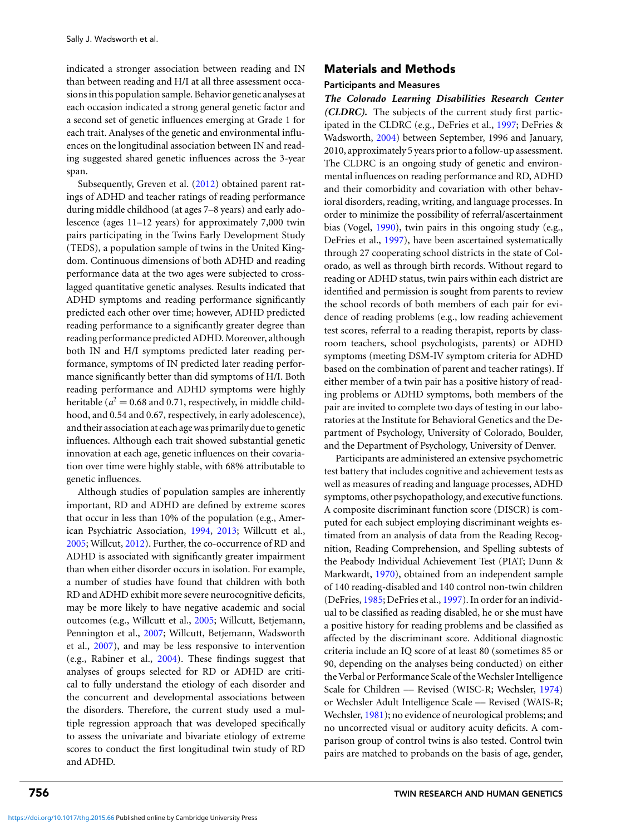indicated a stronger association between reading and IN than between reading and H/I at all three assessment occasions in this population sample. Behavior genetic analyses at each occasion indicated a strong general genetic factor and a second set of genetic influences emerging at Grade 1 for each trait. Analyses of the genetic and environmental influences on the longitudinal association between IN and reading suggested shared genetic influences across the 3-year span.

Subsequently, Greven et al. [\(2012\)](#page-5-0) obtained parent ratings of ADHD and teacher ratings of reading performance during middle childhood (at ages 7–8 years) and early adolescence (ages 11–12 years) for approximately 7,000 twin pairs participating in the Twins Early Development Study (TEDS), a population sample of twins in the United Kingdom. Continuous dimensions of both ADHD and reading performance data at the two ages were subjected to crosslagged quantitative genetic analyses. Results indicated that ADHD symptoms and reading performance significantly predicted each other over time; however, ADHD predicted reading performance to a significantly greater degree than reading performance predicted ADHD. Moreover, although both IN and H/I symptoms predicted later reading performance, symptoms of IN predicted later reading performance significantly better than did symptoms of H/I. Both reading performance and ADHD symptoms were highly heritable ( $a^2 = 0.68$  and 0.71, respectively, in middle childhood, and 0.54 and 0.67, respectively, in early adolescence), and their association at each agewas primarily due to genetic influences. Although each trait showed substantial genetic innovation at each age, genetic influences on their covariation over time were highly stable, with 68% attributable to genetic influences.

Although studies of population samples are inherently important, RD and ADHD are defined by extreme scores that occur in less than 10% of the population (e.g., American Psychiatric Association, [1994,](#page-5-0) [2013;](#page-5-0) Willcutt et al., [2005;](#page-6-0) Willcut, [2012\)](#page-6-0). Further, the co-occurrence of RD and ADHD is associated with significantly greater impairment than when either disorder occurs in isolation. For example, a number of studies have found that children with both RD and ADHD exhibit more severe neurocognitive deficits, may be more likely to have negative academic and social outcomes (e.g., Willcutt et al., [2005;](#page-6-0) Willcutt, Betjemann, Pennington et al., [2007;](#page-6-0) Willcutt, Betjemann, Wadsworth et al., [2007\)](#page-6-0), and may be less responsive to intervention (e.g., Rabiner et al., [2004\)](#page-5-0). These findings suggest that analyses of groups selected for RD or ADHD are critical to fully understand the etiology of each disorder and the concurrent and developmental associations between the disorders. Therefore, the current study used a multiple regression approach that was developed specifically to assess the univariate and bivariate etiology of extreme scores to conduct the first longitudinal twin study of RD and ADHD.

## Materials and Methods

#### Participants and Measures

*The Colorado Learning Disabilities Research Center (CLDRC).* The subjects of the current study first participated in the CLDRC (e.g., DeFries et al., [1997;](#page-5-0) DeFries & Wadsworth, [2004\)](#page-5-0) between September, 1996 and January, 2010, approximately 5 years prior to afollow-up assessment. The CLDRC is an ongoing study of genetic and environmental influences on reading performance and RD, ADHD and their comorbidity and covariation with other behavioral disorders, reading, writing, and language processes. In order to minimize the possibility of referral/ascertainment bias (Vogel, [1990\)](#page-6-0), twin pairs in this ongoing study (e.g., DeFries et al., [1997\)](#page-5-0), have been ascertained systematically through 27 cooperating school districts in the state of Colorado, as well as through birth records. Without regard to reading or ADHD status, twin pairs within each district are identified and permission is sought from parents to review the school records of both members of each pair for evidence of reading problems (e.g., low reading achievement test scores, referral to a reading therapist, reports by classroom teachers, school psychologists, parents) or ADHD symptoms (meeting DSM-IV symptom criteria for ADHD based on the combination of parent and teacher ratings). If either member of a twin pair has a positive history of reading problems or ADHD symptoms, both members of the pair are invited to complete two days of testing in our laboratories at the Institute for Behavioral Genetics and the Department of Psychology, University of Colorado, Boulder, and the Department of Psychology, University of Denver.

Participants are administered an extensive psychometric test battery that includes cognitive and achievement tests as well as measures of reading and language processes, ADHD symptoms, other psychopathology, and executive functions. A composite discriminant function score (DISCR) is computed for each subject employing discriminant weights estimated from an analysis of data from the Reading Recognition, Reading Comprehension, and Spelling subtests of the Peabody Individual Achievement Test (PIAT; Dunn & Markwardt, [1970\)](#page-5-0), obtained from an independent sample of 140 reading-disabled and 140 control non-twin children (DeFries, [1985;](#page-5-0) DeFries et al., [1997\)](#page-5-0). In order for an individual to be classified as reading disabled, he or she must have a positive history for reading problems and be classified as affected by the discriminant score. Additional diagnostic criteria include an IQ score of at least 80 (sometimes 85 or 90, depending on the analyses being conducted) on either the Verbal or Performance Scale of the Wechsler Intelligence Scale for Children — Revised (WISC-R; Wechsler, [1974\)](#page-6-0) or Wechsler Adult Intelligence Scale –– Revised (WAIS-R; Wechsler, [1981\)](#page-6-0); no evidence of neurological problems; and no uncorrected visual or auditory acuity deficits. A comparison group of control twins is also tested. Control twin pairs are matched to probands on the basis of age, gender,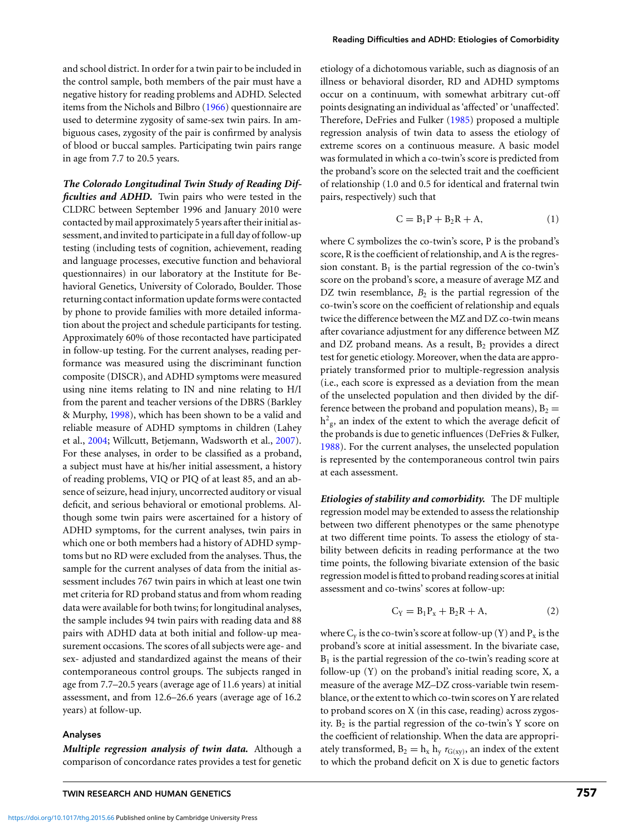and school district. In order for a twin pair to be included in the control sample, both members of the pair must have a negative history for reading problems and ADHD. Selected items from the Nichols and Bilbro [\(1966\)](#page-5-0) questionnaire are used to determine zygosity of same-sex twin pairs. In ambiguous cases, zygosity of the pair is confirmed by analysis of blood or buccal samples. Participating twin pairs range in age from 7.7 to 20.5 years.

*The Colorado Longitudinal Twin Study of Reading Difficulties and ADHD.* Twin pairs who were tested in the CLDRC between September 1996 and January 2010 were contacted by mail approximately 5 years after their initial assessment, and invited to participate in a full day of follow-up testing (including tests of cognition, achievement, reading and language processes, executive function and behavioral questionnaires) in our laboratory at the Institute for Behavioral Genetics, University of Colorado, Boulder. Those returning contact information update forms were contacted by phone to provide families with more detailed information about the project and schedule participants for testing. Approximately 60% of those recontacted have participated in follow-up testing. For the current analyses, reading performance was measured using the discriminant function composite (DISCR), and ADHD symptoms were measured using nine items relating to IN and nine relating to H/I from the parent and teacher versions of the DBRS (Barkley & Murphy, [1998\)](#page-5-0), which has been shown to be a valid and reliable measure of ADHD symptoms in children (Lahey et al., [2004;](#page-5-0) Willcutt, Betjemann, Wadsworth et al., [2007\)](#page-6-0). For these analyses, in order to be classified as a proband, a subject must have at his/her initial assessment, a history of reading problems, VIQ or PIQ of at least 85, and an absence of seizure, head injury, uncorrected auditory or visual deficit, and serious behavioral or emotional problems. Although some twin pairs were ascertained for a history of ADHD symptoms, for the current analyses, twin pairs in which one or both members had a history of ADHD symptoms but no RD were excluded from the analyses. Thus, the sample for the current analyses of data from the initial assessment includes 767 twin pairs in which at least one twin met criteria for RD proband status and from whom reading data were available for both twins; for longitudinal analyses, the sample includes 94 twin pairs with reading data and 88 pairs with ADHD data at both initial and follow-up measurement occasions. The scores of all subjects were age- and sex- adjusted and standardized against the means of their contemporaneous control groups. The subjects ranged in age from 7.7–20.5 years (average age of 11.6 years) at initial assessment, and from 12.6–26.6 years (average age of 16.2 years) at follow-up.

#### Analyses

*Multiple regression analysis of twin data.* Although a comparison of concordance rates provides a test for genetic

etiology of a dichotomous variable, such as diagnosis of an illness or behavioral disorder, RD and ADHD symptoms occur on a continuum, with somewhat arbitrary cut-off points designating an individual as 'affected' or 'unaffected'. Therefore, DeFries and Fulker [\(1985\)](#page-5-0) proposed a multiple regression analysis of twin data to assess the etiology of extreme scores on a continuous measure. A basic model was formulated in which a co-twin's score is predicted from the proband's score on the selected trait and the coefficient of relationship (1.0 and 0.5 for identical and fraternal twin pairs, respectively) such that

$$
C = B_1 P + B_2 R + A,\tag{1}
$$

where C symbolizes the co-twin's score, P is the proband's score, R is the coefficient of relationship, and A is the regression constant.  $B_1$  is the partial regression of the co-twin's score on the proband's score, a measure of average MZ and DZ twin resemblance,  $B_2$  is the partial regression of the co-twin's score on the coefficient of relationship and equals twice the difference between the MZ and DZ co-twin means after covariance adjustment for any difference between MZ and DZ proband means. As a result,  $B_2$  provides a direct test for genetic etiology. Moreover, when the data are appropriately transformed prior to multiple-regression analysis (i.e., each score is expressed as a deviation from the mean of the unselected population and then divided by the difference between the proband and population means),  $B_2 =$ h2 <sup>g</sup>*,* an index of the extent to which the average deficit of the probands is due to genetic influences (DeFries & Fulker, [1988\)](#page-5-0). For the current analyses, the unselected population is represented by the contemporaneous control twin pairs at each assessment.

*Etiologies of stability and comorbidity.* The DF multiple regression model may be extended to assess the relationship between two different phenotypes or the same phenotype at two different time points. To assess the etiology of stability between deficits in reading performance at the two time points, the following bivariate extension of the basic regression model is fitted to proband reading scores at initial assessment and co-twins' scores at follow-up:

$$
C_Y = B_1 P_x + B_2 R + A,\t\t(2)
$$

where  $C_v$  is the co-twin's score at follow-up (Y) and  $P_x$  is the proband's score at initial assessment. In the bivariate case,  $B_1$  is the partial regression of the co-twin's reading score at follow-up (Y) on the proband's initial reading score, X*,* a measure of the average MZ–DZ cross-variable twin resemblance, or the extent to which co-twin scores on Y are related to proband scores on X (in this case, reading) across zygosity.  $B_2$  is the partial regression of the co-twin's Y score on the coefficient of relationship. When the data are appropriately transformed,  $B_2 = h_x h_y r_{G(xy)}$ , an index of the extent to which the proband deficit on X is due to genetic factors

<https://doi.org/10.1017/thg.2015.66>Published online by Cambridge University Press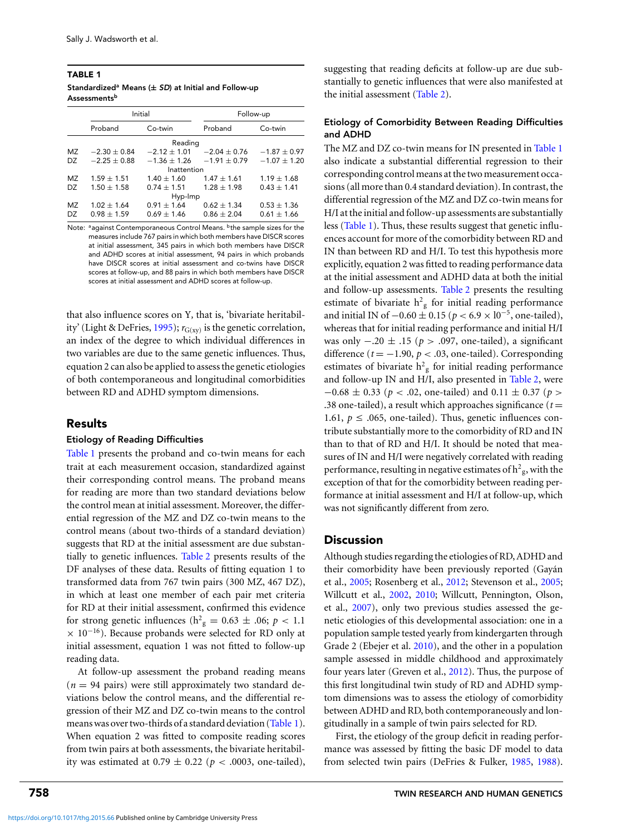| <b>TABLE 1</b>                                                       |
|----------------------------------------------------------------------|
| Standardized <sup>a</sup> Means ( $\pm$ SD) at Initial and Follow-up |
| Assessments <sup>b</sup>                                             |

|           | Initial         |                  | Follow-up      |                 |
|-----------|-----------------|------------------|----------------|-----------------|
|           | Proband         | Co-twin          | Proband        | Co-twin         |
|           |                 | Reading          |                |                 |
| MZ        | $-2.30 + 0.84$  | $-2.12 \pm 1.01$ | $-2.04 + 0.76$ | $-1.87 + 0.97$  |
| DZ.       | $-2.25 + 0.88$  | $-1.36 + 1.26$   | $-1.91 + 0.79$ | $-1.07 + 1.20$  |
|           |                 | Inattention      |                |                 |
| <b>MZ</b> | $1.59 + 1.51$   | $1.40 + 1.60$    | $1.47 + 1.61$  | $1.19 \pm 1.68$ |
| DZ        | $1.50 + 1.58$   | $0.74 + 1.51$    | $1.28 + 1.98$  | $0.43 + 1.41$   |
|           |                 | Hyp-Imp          |                |                 |
| MZ        | $1.02 + 1.64$   | $0.91 \pm 1.64$  | $0.62 + 1.34$  | $0.53 + 1.36$   |
| DZ        | $0.98 \pm 1.59$ | $0.69 \pm 1.46$  | $0.86 + 2.04$  | $0.61 + 1.66$   |
|           |                 |                  |                |                 |

Note: <sup>a</sup> against Contemporaneous Control Means. <sup>b</sup> the sample sizes for the measures include 767 pairs in which both members have DISCR scores at initial assessment, 345 pairs in which both members have DISCR and ADHD scores at initial assessment, 94 pairs in which probands have DISCR scores at initial assessment and co-twins have DISCR scores at follow-up, and 88 pairs in which both members have DISCR scores at initial assessment and ADHD scores at follow-up.

that also influence scores on Y*,* that is, 'bivariate heritability' (Light & DeFries,  $1995$ );  $r_{G(xy)}$  is the genetic correlation, an index of the degree to which individual differences in two variables are due to the same genetic influences. Thus, equation 2 can also be applied to assess the genetic etiologies of both contemporaneous and longitudinal comorbidities between RD and ADHD symptom dimensions.

## Results

#### Etiology of Reading Difficulties

Table 1 presents the proband and co-twin means for each trait at each measurement occasion, standardized against their corresponding control means. The proband means for reading are more than two standard deviations below the control mean at initial assessment. Moreover, the differential regression of the MZ and DZ co-twin means to the control means (about two-thirds of a standard deviation) suggests that RD at the initial assessment are due substantially to genetic influences. [Table 2](#page-4-0) presents results of the DF analyses of these data. Results of fitting equation 1 to transformed data from 767 twin pairs (300 MZ, 467 DZ), in which at least one member of each pair met criteria for RD at their initial assessment, confirmed this evidence for strong genetic influences ( $h^2$ <sub>g</sub> = 0.63  $\pm$  .06; *p* < 1.1  $\times$  10<sup>-16</sup>). Because probands were selected for RD only at initial assessment, equation 1 was not fitted to follow-up reading data.

At follow-up assessment the proband reading means  $(n = 94 \text{ pairs})$  were still approximately two standard deviations below the control means, and the differential regression of their MZ and DZ co-twin means to the control means was over two-thirds of a standard deviation (Table 1). When equation 2 was fitted to composite reading scores from twin pairs at both assessments, the bivariate heritability was estimated at  $0.79 \pm 0.22$  ( $p < .0003$ , one-tailed), suggesting that reading deficits at follow-up are due substantially to genetic influences that were also manifested at the initial assessment [\(Table 2\)](#page-4-0).

## Etiology of Comorbidity Between Reading Difficulties and ADHD

The MZ and DZ co-twin means for IN presented in Table 1 also indicate a substantial differential regression to their corresponding control means at the two measurement occasions (all more than 0.4 standard deviation). In contrast, the differential regression of the MZ and DZ co-twin means for H/I at the initial and follow-up assessments are substantially less (Table 1). Thus, these results suggest that genetic influences account for more of the comorbidity between RD and IN than between RD and H/I. To test this hypothesis more explicitly, equation 2 was fitted to reading performance data at the initial assessment and ADHD data at both the initial and follow-up assessments. [Table 2](#page-4-0) presents the resulting estimate of bivariate  $h<sup>2</sup>_{g}$  for initial reading performance and initial IN of  $-0.60 \pm 0.15$  ( $p < 6.9 \times 10^{-5}$ , one-tailed), whereas that for initial reading performance and initial H/I was only −.20 ± .15 (*p >* .097, one-tailed), a significant difference ( $t = -1.90$ ,  $p < .03$ , one-tailed). Corresponding estimates of bivariate  $h<sup>2</sup><sub>g</sub>$  for initial reading performance and follow-up IN and H/I, also presented in [Table 2,](#page-4-0) were −0.68 ± 0.33 (*p <* .02, one-tailed) and 0.11 ± 0.37 (*p >* .38 one-tailed), a result which approaches significance  $(t =$ 1.61,  $p \leq 0.065$ , one-tailed). Thus, genetic influences contribute substantially more to the comorbidity of RD and IN than to that of RD and H/I. It should be noted that measures of IN and H/I were negatively correlated with reading performance, resulting in negative estimates of  $h^2_g$ , with the exception of that for the comorbidity between reading performance at initial assessment and H/I at follow-up, which was not significantly different from zero.

## **Discussion**

Although studies regarding the etiologies of RD, ADHD and their comorbidity have been previously reported (Gayan´ et al., [2005;](#page-5-0) Rosenberg et al., [2012;](#page-5-0) Stevenson et al., [2005;](#page-6-0) Willcutt et al., [2002,](#page-6-0) [2010;](#page-6-0) Willcutt, Pennington, Olson, et al., [2007\)](#page-6-0), only two previous studies assessed the genetic etiologies of this developmental association: one in a population sample tested yearly from kindergarten through Grade 2 (Ebejer et al. [2010\)](#page-5-0), and the other in a population sample assessed in middle childhood and approximately four years later (Greven et al., [2012\)](#page-5-0). Thus, the purpose of this first longitudinal twin study of RD and ADHD symptom dimensions was to assess the etiology of comorbidity between ADHD and RD, both contemporaneously and longitudinally in a sample of twin pairs selected for RD.

First, the etiology of the group deficit in reading performance was assessed by fitting the basic DF model to data from selected twin pairs (DeFries & Fulker, [1985,](#page-5-0) [1988\)](#page-5-0).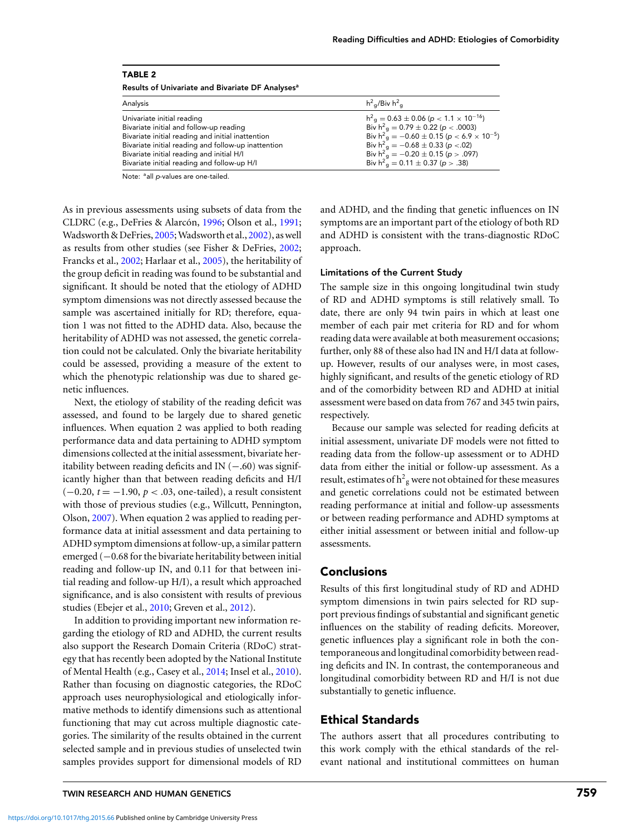## <span id="page-4-0"></span>TABLE 2

| Results of Univariate and Bivariate DF Analyses <sup>a</sup> |                                                                     |  |  |
|--------------------------------------------------------------|---------------------------------------------------------------------|--|--|
| Analysis                                                     | $h^2$ <sub>a</sub> /Biv $h^2$ <sub>a</sub>                          |  |  |
| Univariate initial reading                                   | $h^{2}_{0} = 0.63 \pm 0.06$ (p < 1.1 × 10 <sup>-16</sup> )          |  |  |
| Bivariate initial and follow-up reading                      | Biv $h^2$ <sub>g</sub> = 0.79 ± 0.22 (p < .0003)                    |  |  |
| Bivariate initial reading and initial inattention            | Biv $h^2$ <sub>9</sub> = -0.60 ± 0.15 (p < 6.9 × 10 <sup>-5</sup> ) |  |  |
| Bivariate initial reading and follow-up inattention          | Biv $h^2$ <sub>g</sub> = -0.68 $\pm$ 0.33 (p <.02)                  |  |  |
| Bivariate initial reading and initial H/I                    | Biv $h^2$ <sub>9</sub> = -0.20 ± 0.15 (p > .097)                    |  |  |
| Bivariate initial reading and follow-up H/I                  | Biv $h^2$ <sub>9</sub> = 0.11 ± 0.37 (p > .38)                      |  |  |

Note: aall p-values are one-tailed.

As in previous assessments using subsets of data from the CLDRC (e.g., DeFries & Alarcón, [1996;](#page-5-0) Olson et al., [1991;](#page-5-0) Wadsworth & DeFries, [2005;](#page-6-0) Wadsworth et al., [2002\)](#page-6-0), as well as results from other studies (see Fisher & DeFries, [2002;](#page-5-0) Francks et al., [2002;](#page-5-0) Harlaar et al., [2005\)](#page-5-0), the heritability of the group deficit in reading was found to be substantial and significant. It should be noted that the etiology of ADHD symptom dimensions was not directly assessed because the sample was ascertained initially for RD; therefore, equation 1 was not fitted to the ADHD data. Also, because the heritability of ADHD was not assessed, the genetic correlation could not be calculated. Only the bivariate heritability could be assessed, providing a measure of the extent to which the phenotypic relationship was due to shared genetic influences.

Next, the etiology of stability of the reading deficit was assessed, and found to be largely due to shared genetic influences. When equation 2 was applied to both reading performance data and data pertaining to ADHD symptom dimensions collected at the initial assessment, bivariate heritability between reading deficits and IN (−.60) was significantly higher than that between reading deficits and H/I (−0.20, *t* = −1.90, *p <* .03, one-tailed), a result consistent with those of previous studies (e.g., Willcutt, Pennington, Olson, [2007\)](#page-6-0). When equation 2 was applied to reading performance data at initial assessment and data pertaining to ADHD symptom dimensions at follow-up, a similar pattern emerged (−0.68 for the bivariate heritability between initial reading and follow-up IN, and 0.11 for that between initial reading and follow-up H/I), a result which approached significance, and is also consistent with results of previous studies (Ebejer et al., [2010;](#page-5-0) Greven et al., [2012\)](#page-5-0).

In addition to providing important new information regarding the etiology of RD and ADHD, the current results also support the Research Domain Criteria (RDoC) strategy that has recently been adopted by the National Institute of Mental Health (e.g., Casey et al., [2014;](#page-5-0) Insel et al., [2010\)](#page-5-0). Rather than focusing on diagnostic categories, the RDoC approach uses neurophysiological and etiologically informative methods to identify dimensions such as attentional functioning that may cut across multiple diagnostic categories. The similarity of the results obtained in the current selected sample and in previous studies of unselected twin samples provides support for dimensional models of RD

and ADHD, and the finding that genetic influences on IN symptoms are an important part of the etiology of both RD and ADHD is consistent with the trans-diagnostic RDoC approach.

#### Limitations of the Current Study

The sample size in this ongoing longitudinal twin study of RD and ADHD symptoms is still relatively small. To date, there are only 94 twin pairs in which at least one member of each pair met criteria for RD and for whom reading data were available at both measurement occasions; further, only 88 of these also had IN and H/I data at followup. However, results of our analyses were, in most cases, highly significant, and results of the genetic etiology of RD and of the comorbidity between RD and ADHD at initial assessment were based on data from 767 and 345 twin pairs, respectively.

Because our sample was selected for reading deficits at initial assessment, univariate DF models were not fitted to reading data from the follow-up assessment or to ADHD data from either the initial or follow-up assessment. As a result, estimates of  $h^2$ <sub>g</sub> were not obtained for these measures and genetic correlations could not be estimated between reading performance at initial and follow-up assessments or between reading performance and ADHD symptoms at either initial assessment or between initial and follow-up assessments.

#### Conclusions

Results of this first longitudinal study of RD and ADHD symptom dimensions in twin pairs selected for RD support previous findings of substantial and significant genetic influences on the stability of reading deficits. Moreover, genetic influences play a significant role in both the contemporaneous and longitudinal comorbidity between reading deficits and IN. In contrast, the contemporaneous and longitudinal comorbidity between RD and H/I is not due substantially to genetic influence.

## Ethical Standards

The authors assert that all procedures contributing to this work comply with the ethical standards of the relevant national and institutional committees on human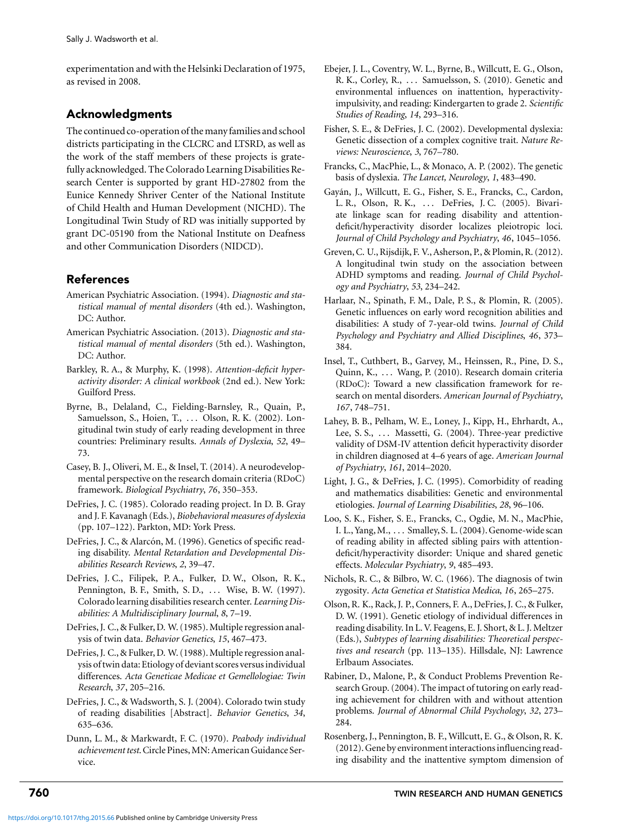<span id="page-5-0"></span>experimentation and with the Helsinki Declaration of 1975, as revised in 2008.

# Acknowledgments

The continued co-operation of themanyfamilies and school districts participating in the CLCRC and LTSRD, as well as the work of the staff members of these projects is gratefully acknowledged. The Colorado Learning Disabilities Research Center is supported by grant HD-27802 from the Eunice Kennedy Shriver Center of the National Institute of Child Health and Human Development (NICHD). The Longitudinal Twin Study of RD was initially supported by grant DC-05190 from the National Institute on Deafness and other Communication Disorders (NIDCD).

## References

- American Psychiatric Association. (1994). *Diagnostic and statistical manual of mental disorders* (4th ed.). Washington, DC: Author.
- American Psychiatric Association. (2013). *Diagnostic and statistical manual of mental disorders* (5th ed.). Washington, DC: Author.
- Barkley, R. A., & Murphy, K. (1998). *Attention-deficit hyperactivity disorder: A clinical workbook* (2nd ed.). New York: Guilford Press.
- Byrne, B., Delaland, C., Fielding-Barnsley, R., Quain, P., Samuelsson, S., Hoien, T., . . . Olson, R. K. (2002). Longitudinal twin study of early reading development in three countries: Preliminary results. *Annals of Dyslexia*, *52*, 49– 73.
- Casey, B. J., Oliveri, M. E., & Insel, T. (2014). A neurodevelopmental perspective on the research domain criteria (RDoC) framework. *Biological Psychiatry*, *76*, 350–353.
- DeFries, J. C. (1985). Colorado reading project. In D. B. Gray and J. F. Kavanagh (Eds.), *Biobehavioral measures of dyslexia* (pp. 107–122). Parkton, MD: York Press.
- DeFries, J. C., & Alarcón, M. (1996). Genetics of specific reading disability. *Mental Retardation and Developmental Disabilities Research Reviews*, *2*, 39–47.
- DeFries, J. C., Filipek, P. A., Fulker, D. W., Olson, R. K., Pennington, B. F., Smith, S. D., ... Wise, B. W. (1997). Colorado learning disabilities research center. *Learning Disabilities: A Multidisciplinary Journal*, *8*, 7–19.
- DeFries, J. C., & Fulker, D. W. (1985). Multiple regression analysis of twin data. *Behavior Genetics*, *15*, 467–473.
- DeFries, J. C., & Fulker, D. W. (1988). Multiple regression analysis of twin data: Etiology of deviant scores versus individual differences. *Acta Geneticae Medicae et Gemellologiae: Twin Research*, *37*, 205–216.
- DeFries, J. C., & Wadsworth, S. J. (2004). Colorado twin study of reading disabilities [Abstract]. *Behavior Genetics*, *34*, 635–636.
- Dunn, L. M., & Markwardt, F. C. (1970). *Peabody individual achievementtest*. Circle Pines,MN: American Guidance Service.
- Ebejer, J. L., Coventry, W. L., Byrne, B., Willcutt, E. G., Olson, R. K., Corley, R., . . . Samuelsson, S. (2010). Genetic and environmental influences on inattention, hyperactivityimpulsivity, and reading: Kindergarten to grade 2. *Scientific Studies of Reading*, *14*, 293–316.
- Fisher, S. E., & DeFries, J. C. (2002). Developmental dyslexia: Genetic dissection of a complex cognitive trait. *Nature Reviews: Neuroscience*, *3*, 767–780.
- Francks, C., MacPhie, L., & Monaco, A. P. (2002). The genetic basis of dyslexia. *The Lancet, Neurology*, *1*, 483–490.
- Gayan, J., Willcutt, E. G., Fisher, S. E., Francks, C., Cardon, ´ L. R., Olson, R. K., ... DeFries, J. C. (2005). Bivariate linkage scan for reading disability and attentiondeficit/hyperactivity disorder localizes pleiotropic loci. *Journal of Child Psychology and Psychiatry*, *46*, 1045–1056.
- Greven, C. U., Rijsdijk, F. V., Asherson, P., & Plomin, R. (2012). A longitudinal twin study on the association between ADHD symptoms and reading. *Journal of Child Psychology and Psychiatry*, *53*, 234–242.
- Harlaar, N., Spinath, F. M., Dale, P. S., & Plomin, R. (2005). Genetic influences on early word recognition abilities and disabilities: A study of 7-year-old twins. *Journal of Child Psychology and Psychiatry and Allied Disciplines*, *46*, 373– 384.
- Insel, T., Cuthbert, B., Garvey, M., Heinssen, R., Pine, D. S., Quinn, K., ... Wang, P. (2010). Research domain criteria (RDoC): Toward a new classification framework for research on mental disorders. *American Journal of Psychiatry*, *167*, 748–751.
- Lahey, B. B., Pelham, W. E., Loney, J., Kipp, H., Ehrhardt, A., Lee, S. S., ... Massetti, G. (2004). Three-year predictive validity of DSM-IV attention deficit hyperactivity disorder in children diagnosed at 4–6 years of age. *American Journal of Psychiatry*, *161*, 2014–2020.
- Light, J. G., & DeFries, J. C. (1995). Comorbidity of reading and mathematics disabilities: Genetic and environmental etiologies. *Journal of Learning Disabilities*, *28*, 96–106.
- Loo, S. K., Fisher, S. E., Francks, C., Ogdie, M. N., MacPhie, I. L., Yang,M., . . . Smalley, S. L. (2004). Genome-wide scan of reading ability in affected sibling pairs with attentiondeficit/hyperactivity disorder: Unique and shared genetic effects. *Molecular Psychiatry*, *9*, 485–493.
- Nichols, R. C., & Bilbro, W. C. (1966). The diagnosis of twin zygosity. *Acta Genetica et Statistica Medica*, *16*, 265–275.
- Olson, R. K., Rack, J. P., Conners, F. A., DeFries, J. C., & Fulker, D. W. (1991). Genetic etiology of individual differences in reading disability. In L. V. Feagens, E. J. Short, & L. J. Meltzer (Eds.), *Subtypes of learning disabilities: Theoretical perspectives and research* (pp. 113–135). Hillsdale, NJ: Lawrence Erlbaum Associates.
- Rabiner, D., Malone, P., & Conduct Problems Prevention Research Group. (2004). The impact of tutoring on early reading achievement for children with and without attention problems. *Journal of Abnormal Child Psychology*, *32*, 273– 284.
- Rosenberg, J., Pennington, B. F., Willcutt, E. G., & Olson, R. K. (2012). Gene by environment interactions influencing reading disability and the inattentive symptom dimension of